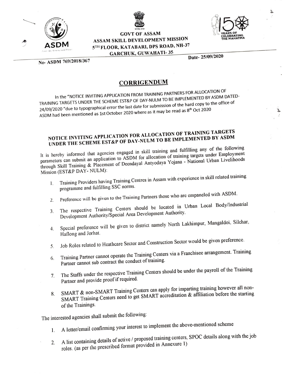



GOVT OF ASSAM ASSAM SKILL DEVELOPMENT MISSION 5TH FLOOR, KATABARI, DPS ROAD, NH-37 GARCHUK, GUWAHATI- 35



y,

No- ASDM 769/2018/367

Date- 25/09/2020

## **CORRIGENDUM**

In the "NOTICE INVITING APPLICATION FROM TRAINING PARTNERS FOR ALLOCATION OF TRAINING TARGETS UNDER THE SCHEME EST&P OF DAY-NULM TO BE IMPLEMENTED BY ASDM DATED-24/09/2020 "due to typographical error the last date for submission of the hard copy to the office of ASDM had been mentioned as 1st October 2020 where as it may be read as 8<sup>th</sup> Oct 2020

## NOTICE INVITING APPLICATION FOR ALLOCATION OF TRAINING TARGETS UNDER THE SCHEME EST&P OF DAY-NULM TO BE IMPLEMENTED BY ASDM

It is hereby informed that agencies engaged in skill training and fulfilling any of the following parameters can submit an application to ASDM for allocation of training targets under Employment through Skill Training & Placement of Deendayal Antyodaya Yojana - National Urban Livelihoods Mission (EST&P DAY- NULM):

- 1. Training Providers having Training Centres in Assam with experience in skill related training programme and fulfilling SSC norms.
- Preference will be given to the Training Partners those who are empaneled with ASDM. 2.
- The respective Training Centers should be located in Urban Local Body/Industrial 3 Development Authority/Special Area Development Authority.
- Special preference will be given to district namely North Lakhimpur, Mangaldoi, Silchar, 4. Haflong and Jorhat.
- Job Roles related to Heathcare Sector and Construction Sector would be given preference. 5.
- Training Partner cannot operate the Training Centers via a Franchisee arrangement. Training 6. Training Partner cannot operate the Training.<br>Partner cannot sub contract the conduct of training.
- The Staffs under the respective Training Centers should be under the payroll of the Training  $7<sub>1</sub>$ Partner and provide proof if required.
- SMART & non-SMART Training Centers can apply for imparting training however all non-8. SMART Training Centers need to get SMART accreditation & afiliation before the starting of the Trainings.

The interested agencies shall submit the following:

- A letter/email confírming your interest to implement the above-mentioned scheme  $\mathbf{1}$ .
- 2. A list containing details of active / proposed training centers, SPOC details along with the job roles. (as per the prescribed format provided in Annexure 1)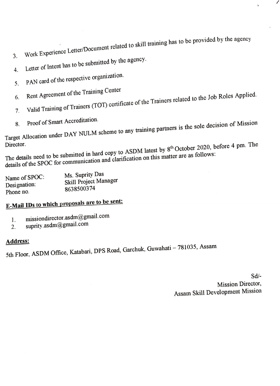3. Work Experience Letter/Document related to skill training has to be provided by the agency

- 3.
- Letter of Intent has to be submitted by the agency.
- 4. 5. PAN card of the respective organization.
- 6. Rent Agreement of the Training Center
- 7. Valid Training of Trainers (TOT) certificate of the Trainers related to the Job Roles Applied.
- 
- 

8. Proof of Smart Accreditation.<br>Target Allocation under DAY NULM scheme to any training partners is the sole decision of Mission

Director.<br>The details need to be submitted in hard copy to ASDM latest by 8<sup>th</sup> October 2020, before 4 pm. The details of the SPOC for communication and clarification on this matter are as follows:

| Ms. Suprity Das<br>Skill Project Manager<br>8638500374 |
|--------------------------------------------------------|
|                                                        |
|                                                        |

## E-Mail IDs to which proposals are to be sent:

- missiondirector.asdm@gmail.com 1.
- suprity.asdm@gmail.com 2.

## Address:

5th Floor, ASDM Office, Katabari, DPS Road, Garchuk, Guwahati - 781035, Assam

Sd/- Mission Director, Assam Skill Development Mission  $\prime$ 

 $\hat{\mathbf{v}}$